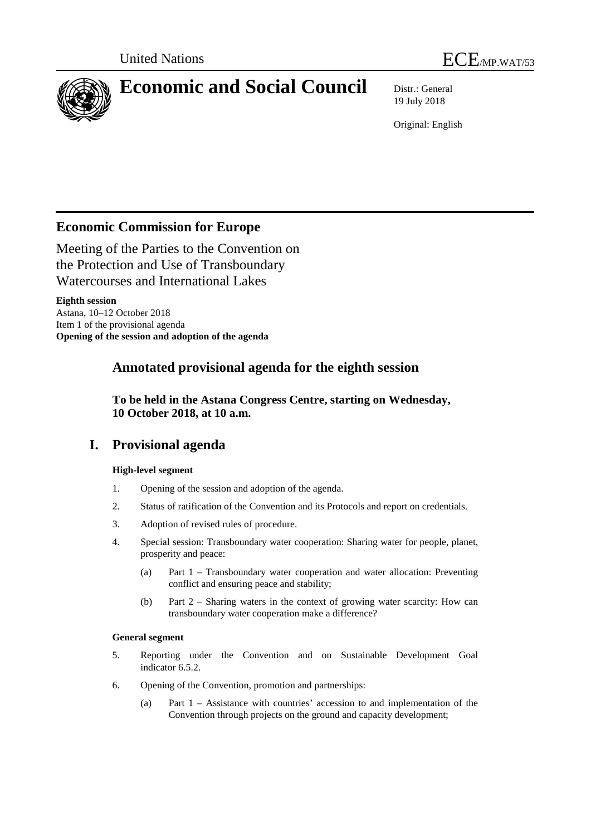



# **Economic and Social Council** Distr.: General

19 July 2018

Original: English

# **Economic Commission for Europe**

Meeting of the Parties to the Convention on the Protection and Use of Transboundary Watercourses and International Lakes

**Eighth session** Astana, 10–12 October 2018 Item 1 of the provisional agenda **Opening of the session and adoption of the agenda**

# **Annotated provisional agenda for the eighth session**

**To be held in the Astana Congress Centre, starting on Wednesday, 10 October 2018, at 10 a.m.**

# **I. Provisional agenda**

# **High-level segment**

- 1. Opening of the session and adoption of the agenda.
- 2. Status of ratification of the Convention and its Protocols and report on credentials.
- 3. Adoption of revised rules of procedure.
- 4. Special session: Transboundary water cooperation: Sharing water for people, planet, prosperity and peace:
	- (a) Part 1 Transboundary water cooperation and water allocation: Preventing conflict and ensuring peace and stability;
	- (b) Part 2 Sharing waters in the context of growing water scarcity: How can transboundary water cooperation make a difference?

# **General segment**

- 5. Reporting under the Convention and on Sustainable Development Goal indicator 6.5.2.
- 6. Opening of the Convention, promotion and partnerships:
	- (a) Part 1 Assistance with countries' accession to and implementation of the Convention through projects on the ground and capacity development;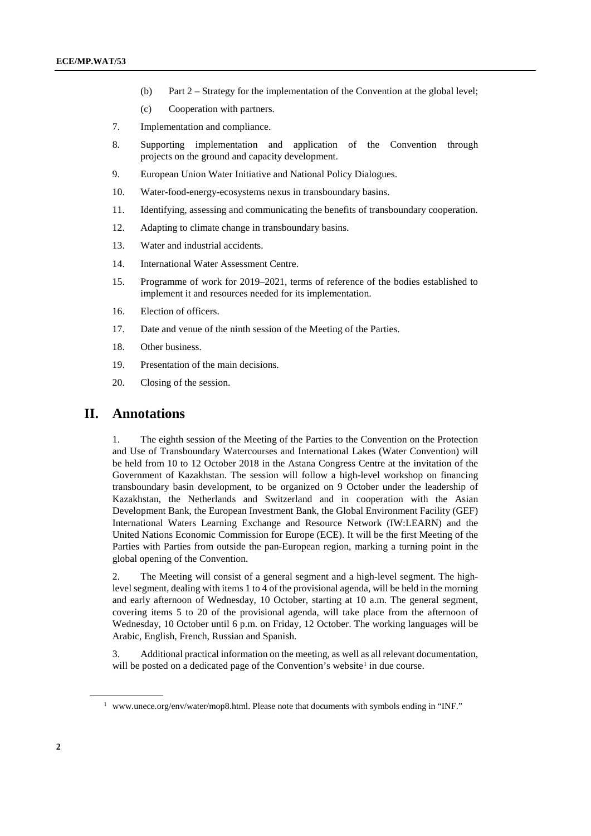- (b) Part 2 Strategy for the implementation of the Convention at the global level;
- (c) Cooperation with partners.
- 7. Implementation and compliance.
- 8. Supporting implementation and application of the Convention through projects on the ground and capacity development.
- 9. European Union Water Initiative and National Policy Dialogues.
- 10. Water-food-energy-ecosystems nexus in transboundary basins.
- 11. Identifying, assessing and communicating the benefits of transboundary cooperation.
- 12. Adapting to climate change in transboundary basins.
- 13. Water and industrial accidents.
- 14. International Water Assessment Centre.
- 15. Programme of work for 2019–2021, terms of reference of the bodies established to implement it and resources needed for its implementation.
- 16. Election of officers.
- 17. Date and venue of the ninth session of the Meeting of the Parties.
- 18. Other business.
- 19. Presentation of the main decisions.
- 20. Closing of the session.

# **II. Annotations**

1. The eighth session of the Meeting of the Parties to the Convention on the Protection and Use of Transboundary Watercourses and International Lakes (Water Convention) will be held from 10 to 12 October 2018 in the Astana Congress Centre at the invitation of the Government of Kazakhstan. The session will follow a high-level workshop on financing transboundary basin development, to be organized on 9 October under the leadership of Kazakhstan, the Netherlands and Switzerland and in cooperation with the Asian Development Bank, the European Investment Bank, the Global Environment Facility (GEF) International Waters Learning Exchange and Resource Network (IW:LEARN) and the United Nations Economic Commission for Europe (ECE). It will be the first Meeting of the Parties with Parties from outside the pan-European region, marking a turning point in the global opening of the Convention.

2. The Meeting will consist of a general segment and a high-level segment. The highlevel segment, dealing with items 1 to 4 of the provisional agenda, will be held in the morning and early afternoon of Wednesday, 10 October, starting at 10 a.m. The general segment, covering items 5 to 20 of the provisional agenda, will take place from the afternoon of Wednesday, 10 October until 6 p.m. on Friday, 12 October. The working languages will be Arabic, English, French, Russian and Spanish.

3. Additional practical information on the meeting, as well as all relevant documentation, will be posted on a dedicated page of the Convention's website<sup>[1](#page-1-0)</sup> in due course.

<span id="page-1-0"></span><sup>&</sup>lt;sup>1</sup> [www.unece.org/env/water/mop8.html.](https://www.unece.org/index.php?id=48127) Please note that documents with symbols ending in "INF."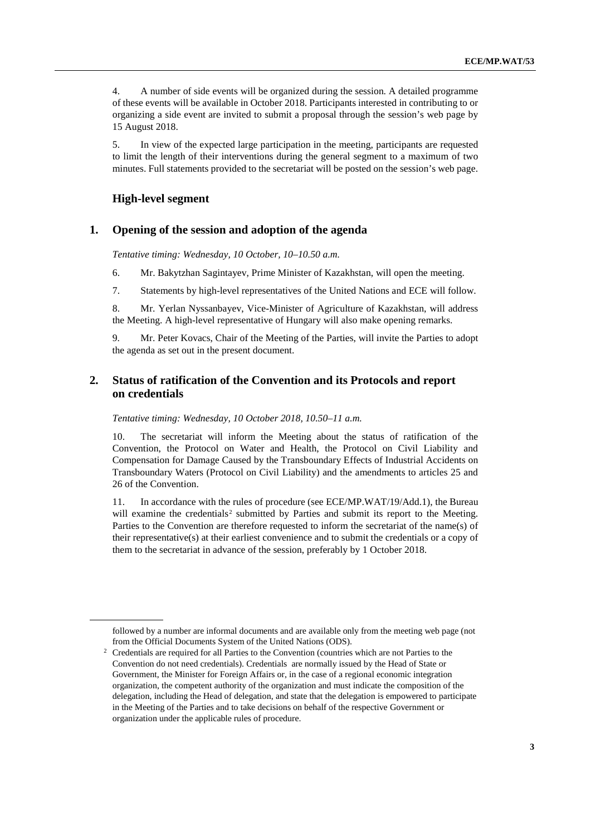4. A number of side events will be organized during the session. A detailed programme of these events will be available in October 2018. Participants interested in contributing to or organizing a side event are invited to submit a proposal through the session's web page by 15 August 2018.

5. In view of the expected large participation in the meeting, participants are requested to limit the length of their interventions during the general segment to a maximum of two minutes. Full statements provided to the secretariat will be posted on the session's web page.

#### **High-level segment**

# **1. Opening of the session and adoption of the agenda**

*Tentative timing: Wednesday, 10 October, 10–10.50 a.m.*

- 6. Mr. Bakytzhan Sagintayev, Prime Minister of Kazakhstan, will open the meeting.
- 7. Statements by high-level representatives of the United Nations and ECE will follow.

8. Mr. Yerlan Nyssanbayev, Vice-Minister of Agriculture of Kazakhstan, will address the Meeting. A high-level representative of Hungary will also make opening remarks.

9. Mr. Peter Kovacs, Chair of the Meeting of the Parties, will invite the Parties to adopt the agenda as set out in the present document.

# **2. Status of ratification of the Convention and its Protocols and report on credentials**

#### *Tentative timing: Wednesday, 10 October 2018, 10.50–11 a.m.*

10. The secretariat will inform the Meeting about the status of ratification of the Convention, the Protocol on Water and Health, the Protocol on Civil Liability and Compensation for Damage Caused by the Transboundary Effects of Industrial Accidents on Transboundary Waters (Protocol on Civil Liability) and the amendments to articles 25 and 26 of the Convention.

11. In accordance with the rules of procedure (see ECE/MP.WAT/19/Add.1), the Bureau will examine the credentials<sup>[2](#page-2-0)</sup> submitted by Parties and submit its report to the Meeting. Parties to the Convention are therefore requested to inform the secretariat of the name(s) of their representative(s) at their earliest convenience and to submit the credentials or a copy of them to the secretariat in advance of the session, preferably by 1 October 2018.

followed by a number are informal documents and are available only from the meeting web page (not from the Official Documents System of the United Nations (ODS).

<span id="page-2-0"></span><sup>&</sup>lt;sup>2</sup> Credentials are required for all Parties to the Convention (countries which are not Parties to the Convention do not need credentials). Credentials are normally issued by the Head of State or Government, the Minister for Foreign Affairs or, in the case of a regional economic integration organization, the competent authority of the organization and must indicate the composition of the delegation, including the Head of delegation, and state that the delegation is empowered to participate in the Meeting of the Parties and to take decisions on behalf of the respective Government or organization under the applicable rules of procedure.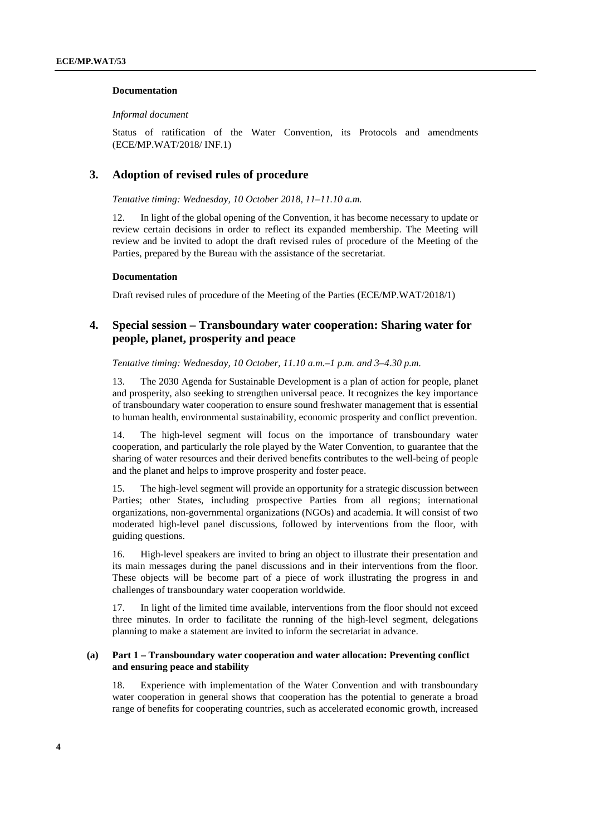#### **Documentation**

*Informal document*

Status of ratification of the Water Convention, its Protocols and amendments (ECE/MP.WAT/2018/ INF.1)

# **3. Adoption of revised rules of procedure**

*Tentative timing: Wednesday, 10 October 2018, 11–11.10 a.m.*

12. In light of the global opening of the Convention, it has become necessary to update or review certain decisions in order to reflect its expanded membership. The Meeting will review and be invited to adopt the draft revised rules of procedure of the Meeting of the Parties, prepared by the Bureau with the assistance of the secretariat.

#### **Documentation**

Draft revised rules of procedure of the Meeting of the Parties (ECE/MP.WAT/2018/1)

# **4. Special session – Transboundary water cooperation: Sharing water for people, planet, prosperity and peace**

*Tentative timing: Wednesday, 10 October, 11.10 a.m.–1 p.m. and 3–4.30 p.m.*

13. The 2030 Agenda for Sustainable Development is a plan of action for people, planet and prosperity, also seeking to strengthen universal peace. It recognizes the key importance of transboundary water cooperation to ensure sound freshwater management that is essential to human health, environmental sustainability, economic prosperity and conflict prevention.

14. The high-level segment will focus on the importance of transboundary water cooperation, and particularly the role played by the Water Convention, to guarantee that the sharing of water resources and their derived benefits contributes to the well-being of people and the planet and helps to improve prosperity and foster peace.

15. The high-level segment will provide an opportunity for a strategic discussion between Parties; other States, including prospective Parties from all regions; international organizations, non-governmental organizations (NGOs) and academia. It will consist of two moderated high-level panel discussions, followed by interventions from the floor, with guiding questions.

16. High-level speakers are invited to bring an object to illustrate their presentation and its main messages during the panel discussions and in their interventions from the floor. These objects will be become part of a piece of work illustrating the progress in and challenges of transboundary water cooperation worldwide.

17. In light of the limited time available, interventions from the floor should not exceed three minutes. In order to facilitate the running of the high-level segment, delegations planning to make a statement are invited to inform the secretariat in advance.

#### **(a) Part 1 – Transboundary water cooperation and water allocation: Preventing conflict and ensuring peace and stability**

18. Experience with implementation of the Water Convention and with transboundary water cooperation in general shows that cooperation has the potential to generate a broad range of benefits for cooperating countries, such as accelerated economic growth, increased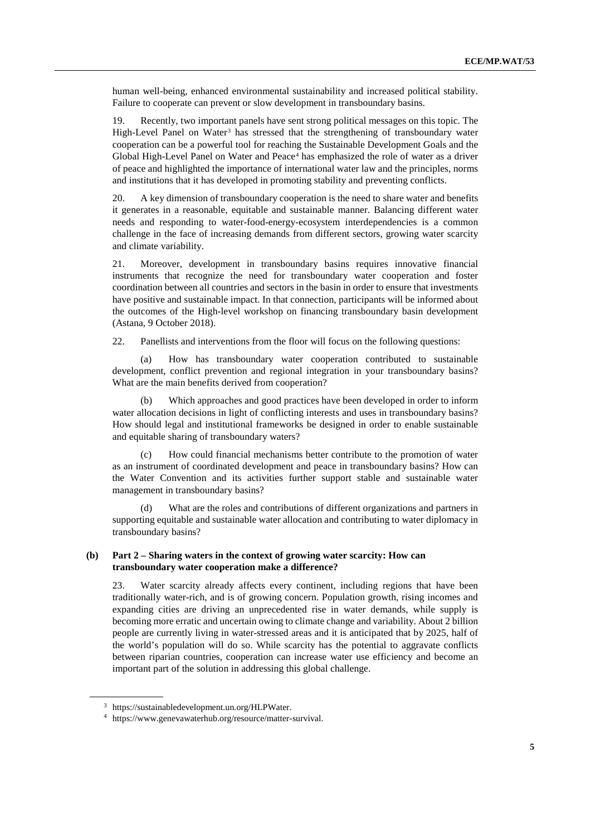human well-being, enhanced environmental sustainability and increased political stability. Failure to cooperate can prevent or slow development in transboundary basins.

19. Recently, two important panels have sent strong political messages on this topic. The High-Level Panel on Water<sup>[3](#page-4-0)</sup> has stressed that the strengthening of transboundary water cooperation can be a powerful tool for reaching the Sustainable Development Goals and the Global High-Level Panel on Water and Peace<sup>[4](#page-4-1)</sup> has emphasized the role of water as a driver of peace and highlighted the importance of international water law and the principles, norms and institutions that it has developed in promoting stability and preventing conflicts.

20. A key dimension of transboundary cooperation is the need to share water and benefits it generates in a reasonable, equitable and sustainable manner. Balancing different water needs and responding to water-food-energy-ecosystem interdependencies is a common challenge in the face of increasing demands from different sectors, growing water scarcity and climate variability.

21. Moreover, development in transboundary basins requires innovative financial instruments that recognize the need for transboundary water cooperation and foster coordination between all countries and sectors in the basin in order to ensure that investments have positive and sustainable impact. In that connection, participants will be informed about the outcomes of the High-level workshop on financing transboundary basin development (Astana, 9 October 2018).

22. Panellists and interventions from the floor will focus on the following questions:

(a) How has transboundary water cooperation contributed to sustainable development, conflict prevention and regional integration in your transboundary basins? What are the main benefits derived from cooperation?

Which approaches and good practices have been developed in order to inform water allocation decisions in light of conflicting interests and uses in transboundary basins? How should legal and institutional frameworks be designed in order to enable sustainable and equitable sharing of transboundary waters?

How could financial mechanisms better contribute to the promotion of water as an instrument of coordinated development and peace in transboundary basins? How can the Water Convention and its activities further support stable and sustainable water management in transboundary basins?

(d) What are the roles and contributions of different organizations and partners in supporting equitable and sustainable water allocation and contributing to water diplomacy in transboundary basins?

#### **(b) Part 2 – Sharing waters in the context of growing water scarcity: How can transboundary water cooperation make a difference?**

23. Water scarcity already affects every continent, including regions that have been traditionally water-rich, and is of growing concern. Population growth, rising incomes and expanding cities are driving an unprecedented rise in water demands, while supply is becoming more erratic and uncertain owing to climate change and variability. About 2 billion people are currently living in water-stressed areas and it is anticipated that by 2025, half of the world's population will do so. While scarcity has the potential to aggravate conflicts between riparian countries, cooperation can increase water use efficiency and become an important part of the solution in addressing this global challenge.

<span id="page-4-0"></span><sup>3</sup> [https://sustainabledevelopment.un.org/HLPWater.](https://sustainabledevelopment.un.org/HLPWater)

<span id="page-4-1"></span><sup>4</sup> https://www.genevawaterhub.org/resource/matter-survival.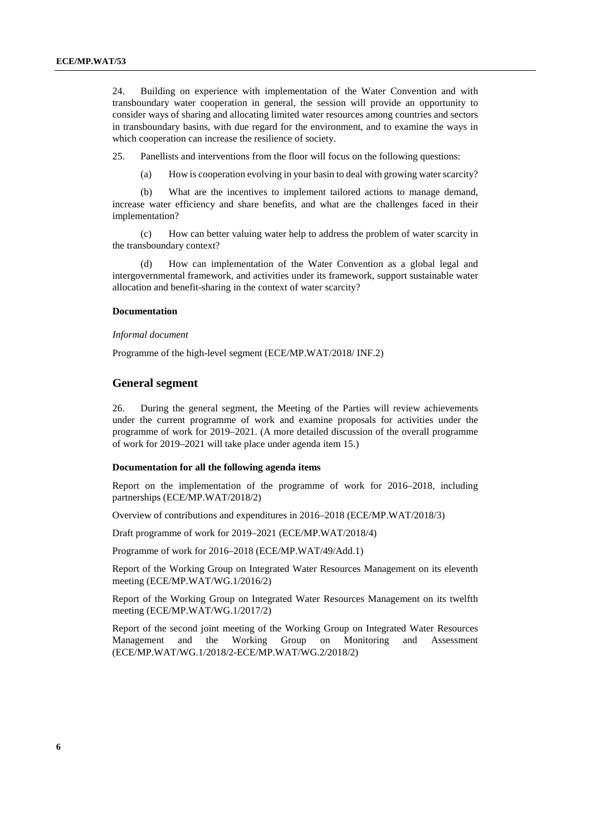24. Building on experience with implementation of the Water Convention and with transboundary water cooperation in general, the session will provide an opportunity to consider ways of sharing and allocating limited water resources among countries and sectors in transboundary basins, with due regard for the environment, and to examine the ways in which cooperation can increase the resilience of society.

25. Panellists and interventions from the floor will focus on the following questions:

(a) How is cooperation evolving in your basin to deal with growing water scarcity?

(b) What are the incentives to implement tailored actions to manage demand, increase water efficiency and share benefits, and what are the challenges faced in their implementation?

(c) How can better valuing water help to address the problem of water scarcity in the transboundary context?

How can implementation of the Water Convention as a global legal and intergovernmental framework, and activities under its framework, support sustainable water allocation and benefit-sharing in the context of water scarcity?

#### **Documentation**

#### *Informal document*

Programme of the high-level segment (ECE/MP.WAT/2018/ INF.2)

#### **General segment**

26. During the general segment, the Meeting of the Parties will review achievements under the current programme of work and examine proposals for activities under the programme of work for 2019–2021. (A more detailed discussion of the overall programme of work for 2019–2021 will take place under agenda item 15.)

#### **Documentation for all the following agenda items**

Report on the implementation of the programme of work for 2016–2018, including partnerships (ECE/MP.WAT/2018/2)

Overview of contributions and expenditures in 2016–2018 (ECE/MP.WAT/2018/3)

Draft programme of work for 2019–2021 (ECE/MP.WAT/2018/4)

Programme of work for 2016–2018 (ECE/MP.WAT/49/Add.1)

Report of the Working Group on Integrated Water Resources Management on its eleventh meeting (ECE/MP.WAT/WG.1/2016/2)

Report of the Working Group on Integrated Water Resources Management on its twelfth meeting (ECE/MP.WAT/WG.1/2017/2)

Report of the second joint meeting of the Working Group on Integrated Water Resources Management and the Working Group on Monitoring and Assessment (ECE/MP.WAT/WG.1/2018/2-ECE/MP.WAT/WG.2/2018/2)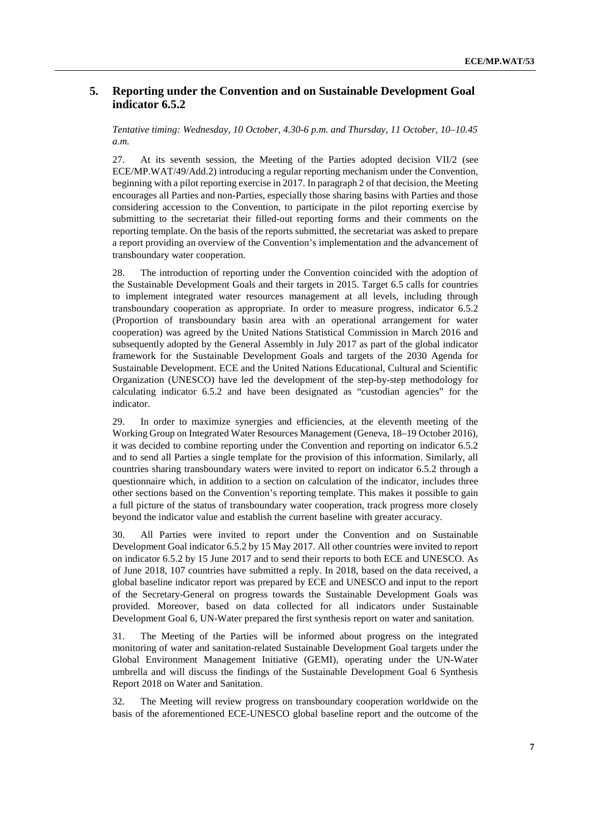# **5. Reporting under the Convention and on Sustainable Development Goal indicator 6.5.2**

*Tentative timing: Wednesday, 10 October, 4.30-6 p.m. and Thursday, 11 October, 10–10.45 a.m.*

27. At its seventh session, the Meeting of the Parties adopted decision VII/2 (see ECE/MP.WAT/49/Add.2) introducing a regular reporting mechanism under the Convention, beginning with a pilot reporting exercise in 2017. In paragraph 2 of that decision, the Meeting encourages all Parties and non-Parties, especially those sharing basins with Parties and those considering accession to the Convention, to participate in the pilot reporting exercise by submitting to the secretariat their filled-out reporting forms and their comments on the reporting template. On the basis of the reports submitted, the secretariat was asked to prepare a report providing an overview of the Convention's implementation and the advancement of transboundary water cooperation.

28. The introduction of reporting under the Convention coincided with the adoption of the Sustainable Development Goals and their targets in 2015. Target 6.5 calls for countries to implement integrated water resources management at all levels, including through transboundary cooperation as appropriate. In order to measure progress, indicator 6.5.2 (Proportion of transboundary basin area with an operational arrangement for water cooperation) was agreed by the United Nations Statistical Commission in March 2016 and subsequently adopted by the General Assembly in July 2017 as part of the global indicator framework for the Sustainable Development Goals and targets of the 2030 Agenda for Sustainable Development. ECE and the United Nations Educational, Cultural and Scientific Organization (UNESCO) have led the development of the step-by-step methodology for calculating indicator 6.5.2 and have been designated as "custodian agencies" for the indicator.

29. In order to maximize synergies and efficiencies, at the eleventh meeting of the Working Group on Integrated Water Resources Management (Geneva, 18–19 October 2016), it was decided to combine reporting under the Convention and reporting on indicator 6.5.2 and to send all Parties a single template for the provision of this information. Similarly, all countries sharing transboundary waters were invited to report on indicator 6.5.2 through a questionnaire which, in addition to a section on calculation of the indicator, includes three other sections based on the Convention's reporting template. This makes it possible to gain a full picture of the status of transboundary water cooperation, track progress more closely beyond the indicator value and establish the current baseline with greater accuracy.

30. All Parties were invited to report under the Convention and on Sustainable Development Goal indicator 6.5.2 by 15 May 2017. All other countries were invited to report on indicator 6.5.2 by 15 June 2017 and to send their reports to both ECE and UNESCO. As of June 2018, 107 countries have submitted a reply. In 2018, based on the data received, a global baseline indicator report was prepared by ECE and UNESCO and input to the report of the Secretary-General on progress towards the Sustainable Development Goals was provided. Moreover, based on data collected for all indicators under Sustainable Development Goal 6, UN-Water prepared the first synthesis report on water and sanitation.

31. The Meeting of the Parties will be informed about progress on the integrated monitoring of water and sanitation-related Sustainable Development Goal targets under the Global Environment Management Initiative (GEMI), operating under the UN-Water umbrella and will discuss the findings of the Sustainable Development Goal 6 Synthesis Report 2018 on Water and Sanitation.

32. The Meeting will review progress on transboundary cooperation worldwide on the basis of the aforementioned ECE-UNESCO global baseline report and the outcome of the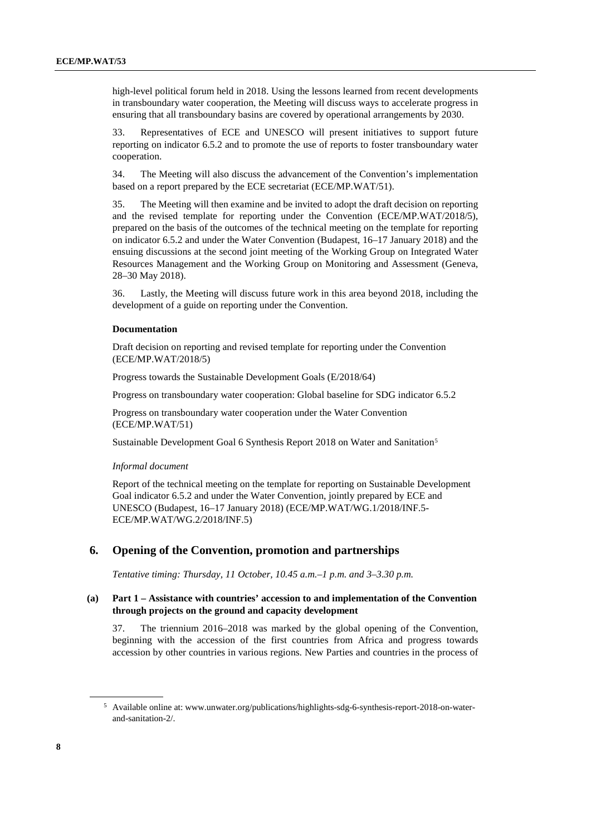high-level political forum held in 2018. Using the lessons learned from recent developments in transboundary water cooperation, the Meeting will discuss ways to accelerate progress in ensuring that all transboundary basins are covered by operational arrangements by 2030.

33. Representatives of ECE and UNESCO will present initiatives to support future reporting on indicator 6.5.2 and to promote the use of reports to foster transboundary water cooperation.

34. The Meeting will also discuss the advancement of the Convention's implementation based on a report prepared by the ECE secretariat (ECE/MP.WAT/51).

35. The Meeting will then examine and be invited to adopt the draft decision on reporting and the revised template for reporting under the Convention (ECE/MP.WAT/2018/5), prepared on the basis of the outcomes of the technical meeting on the template for reporting on indicator 6.5.2 and under the Water Convention (Budapest, 16–17 January 2018) and the ensuing discussions at the second joint meeting of the Working Group on Integrated Water Resources Management and the Working Group on Monitoring and Assessment (Geneva, 28–30 May 2018).

36. Lastly, the Meeting will discuss future work in this area beyond 2018, including the development of a guide on reporting under the Convention.

#### **Documentation**

Draft decision on reporting and revised template for reporting under the Convention (ECE/MP.WAT/2018/5)

Progress towards the Sustainable Development Goals (E/2018/64)

Progress on transboundary water cooperation: Global baseline for SDG indicator 6.5.2

Progress on transboundary water cooperation under the Water Convention (ECE/MP.WAT/51)

Sustainable Development Goal 6 Synthesis Report 2018 on Water and Sanitation[5](#page-7-0)

#### *Informal document*

Report of the technical meeting on the template for reporting on Sustainable Development Goal indicator 6.5.2 and under the Water Convention, jointly prepared by ECE and UNESCO (Budapest, 16–17 January 2018) (ECE/MP.WAT/WG.1/2018/INF.5- ECE/MP.WAT/WG.2/2018/INF.5)

# **6. Opening of the Convention, promotion and partnerships**

*Tentative timing: Thursday, 11 October, 10.45 a.m.–1 p.m. and 3–3.30 p.m.*

#### **(a) Part 1 – Assistance with countries' accession to and implementation of the Convention through projects on the ground and capacity development**

37. The triennium 2016–2018 was marked by the global opening of the Convention, beginning with the accession of the first countries from Africa and progress towards accession by other countries in various regions. New Parties and countries in the process of

<span id="page-7-0"></span><sup>5</sup> Available online at[: www.unwater.org/publications/highlights-sdg-6-synthesis-report-2018-on-water](http://www.unwater.org/publications/highlights-sdg-6-synthesis-report-2018-on-water-and-sanitation-2/)[and-sanitation-2/.](http://www.unwater.org/publications/highlights-sdg-6-synthesis-report-2018-on-water-and-sanitation-2/)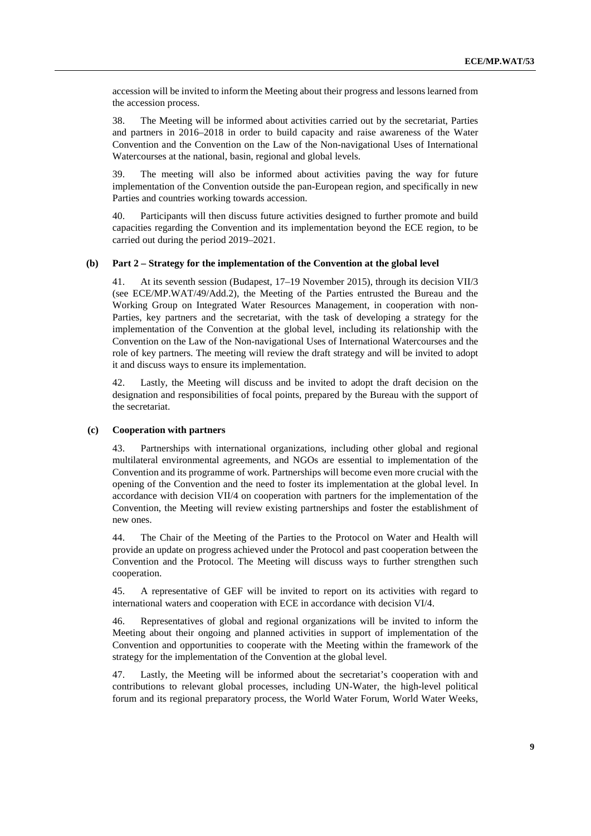accession will be invited to inform the Meeting about their progress and lessons learned from the accession process.

38. The Meeting will be informed about activities carried out by the secretariat, Parties and partners in 2016–2018 in order to build capacity and raise awareness of the Water Convention and the Convention on the Law of the Non-navigational Uses of International Watercourses at the national, basin, regional and global levels.

39. The meeting will also be informed about activities paving the way for future implementation of the Convention outside the pan-European region, and specifically in new Parties and countries working towards accession.

40. Participants will then discuss future activities designed to further promote and build capacities regarding the Convention and its implementation beyond the ECE region, to be carried out during the period 2019–2021.

#### **(b) Part 2 – Strategy for the implementation of the Convention at the global level**

41. At its seventh session (Budapest, 17–19 November 2015), through its decision VII/3 (see ECE/MP.WAT/49/Add.2), the Meeting of the Parties entrusted the Bureau and the Working Group on Integrated Water Resources Management, in cooperation with non-Parties, key partners and the secretariat, with the task of developing a strategy for the implementation of the Convention at the global level, including its relationship with the Convention on the Law of the Non-navigational Uses of International Watercourses and the role of key partners. The meeting will review the draft strategy and will be invited to adopt it and discuss ways to ensure its implementation.

42. Lastly, the Meeting will discuss and be invited to adopt the draft decision on the designation and responsibilities of focal points, prepared by the Bureau with the support of the secretariat.

#### **(c) Cooperation with partners**

43. Partnerships with international organizations, including other global and regional multilateral environmental agreements, and NGOs are essential to implementation of the Convention and its programme of work. Partnerships will become even more crucial with the opening of the Convention and the need to foster its implementation at the global level. In accordance with decision VII/4 on cooperation with partners for the implementation of the Convention, the Meeting will review existing partnerships and foster the establishment of new ones.

44. The Chair of the Meeting of the Parties to the Protocol on Water and Health will provide an update on progress achieved under the Protocol and past cooperation between the Convention and the Protocol. The Meeting will discuss ways to further strengthen such cooperation.

45. A representative of GEF will be invited to report on its activities with regard to international waters and cooperation with ECE in accordance with decision VI/4.

46. Representatives of global and regional organizations will be invited to inform the Meeting about their ongoing and planned activities in support of implementation of the Convention and opportunities to cooperate with the Meeting within the framework of the strategy for the implementation of the Convention at the global level.

47. Lastly, the Meeting will be informed about the secretariat's cooperation with and contributions to relevant global processes, including UN-Water, the high-level political forum and its regional preparatory process, the World Water Forum, World Water Weeks,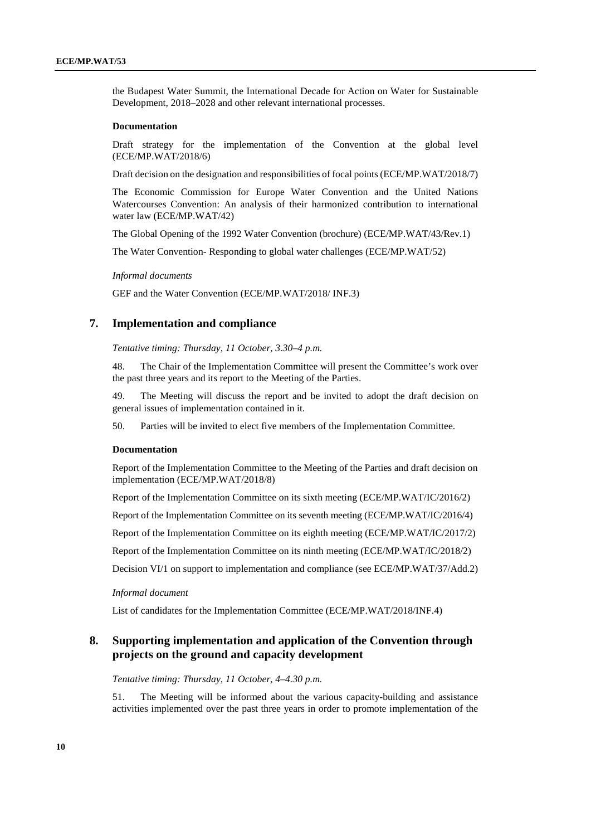the Budapest Water Summit, the International Decade for Action on Water for Sustainable Development, 2018–2028 and other relevant international processes.

#### **Documentation**

Draft strategy for the implementation of the Convention at the global level (ECE/MP.WAT/2018/6)

Draft decision on the designation and responsibilities of focal points (ECE/MP.WAT/2018/7)

The Economic Commission for Europe Water Convention and the United Nations Watercourses Convention: An analysis of their harmonized contribution to international water law (ECE/MP.WAT/42)

The Global Opening of the 1992 Water Convention (brochure) (ECE/MP.WAT/43/Rev.1)

The Water Convention- Responding to global water challenges (ECE/MP.WAT/52)

*Informal documents*

GEF and the Water Convention (ECE/MP.WAT/2018/ INF.3)

# **7. Implementation and compliance**

*Tentative timing: Thursday, 11 October, 3.30–4 p.m.*

48. The Chair of the Implementation Committee will present the Committee's work over the past three years and its report to the Meeting of the Parties.

49. The Meeting will discuss the report and be invited to adopt the draft decision on general issues of implementation contained in it.

50. Parties will be invited to elect five members of the Implementation Committee.

#### **Documentation**

Report of the Implementation Committee to the Meeting of the Parties and draft decision on implementation (ECE/MP.WAT/2018/8)

Report of the Implementation Committee on its sixth meeting (ECE/MP.WAT/IC/2016/2)

Report of the Implementation Committee on its seventh meeting (ECE/MP.WAT/IC/2016/4)

Report of the Implementation Committee on its eighth meeting (ECE/MP.WAT/IC/2017/2)

Report of the Implementation Committee on its ninth meeting (ECE/MP.WAT/IC/2018/2)

Decision VI/1 on support to implementation and compliance (see ECE/MP.WAT/37/Add.2)

*Informal document*

List of candidates for the Implementation Committee (ECE/MP.WAT/2018/INF.4)

# **8. Supporting implementation and application of the Convention through projects on the ground and capacity development**

*Tentative timing: Thursday, 11 October, 4–4.30 p.m.*

51. The Meeting will be informed about the various capacity-building and assistance activities implemented over the past three years in order to promote implementation of the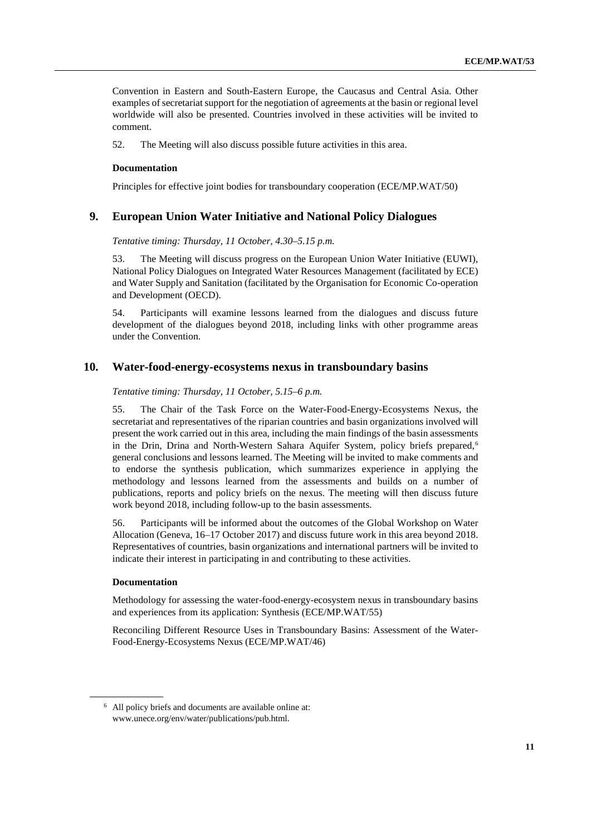Convention in Eastern and South-Eastern Europe, the Caucasus and Central Asia. Other examples of secretariat support for the negotiation of agreements at the basin or regional level worldwide will also be presented. Countries involved in these activities will be invited to comment.

52. The Meeting will also discuss possible future activities in this area.

#### **Documentation**

Principles for effective joint bodies for transboundary cooperation (ECE/MP.WAT/50)

# **9. European Union Water Initiative and National Policy Dialogues**

*Tentative timing: Thursday, 11 October, 4.30–5.15 p.m.*

53. The Meeting will discuss progress on the European Union Water Initiative (EUWI), National Policy Dialogues on Integrated Water Resources Management (facilitated by ECE) and Water Supply and Sanitation (facilitated by the Organisation for Economic Co-operation and Development (OECD).

54. Participants will examine lessons learned from the dialogues and discuss future development of the dialogues beyond 2018, including links with other programme areas under the Convention.

# **10. Water-food-energy-ecosystems nexus in transboundary basins**

*Tentative timing: Thursday, 11 October, 5.15–6 p.m.*

55. The Chair of the Task Force on the Water-Food-Energy-Ecosystems Nexus, the secretariat and representatives of the riparian countries and basin organizations involved will present the work carried out in this area, including the main findings of the basin assessments in the Drin, Drina and North-Western Sahara Aquifer System, policy briefs prepared,<sup> $6$ </sup> general conclusions and lessons learned. The Meeting will be invited to make comments and to endorse the synthesis publication, which summarizes experience in applying the methodology and lessons learned from the assessments and builds on a number of publications, reports and policy briefs on the nexus. The meeting will then discuss future work beyond 2018, including follow-up to the basin assessments.

56. Participants will be informed about the outcomes of the Global Workshop on Water Allocation (Geneva, 16–17 October 2017) and discuss future work in this area beyond 2018. Representatives of countries, basin organizations and international partners will be invited to indicate their interest in participating in and contributing to these activities.

#### **Documentation**

Methodology for assessing the water-food-energy-ecosystem nexus in transboundary basins and experiences from its application: Synthesis (ECE/MP.WAT/55)

Reconciling Different Resource Uses in Transboundary Basins: Assessment of the Water-Food-Energy-Ecosystems Nexus (ECE/MP.WAT/46)

<span id="page-10-0"></span><sup>6</sup> All policy briefs and documents are available online at: [www.unece.org/env/water/publications/pub.html.](http://www.unece.org/env/water/publications/pub.html.)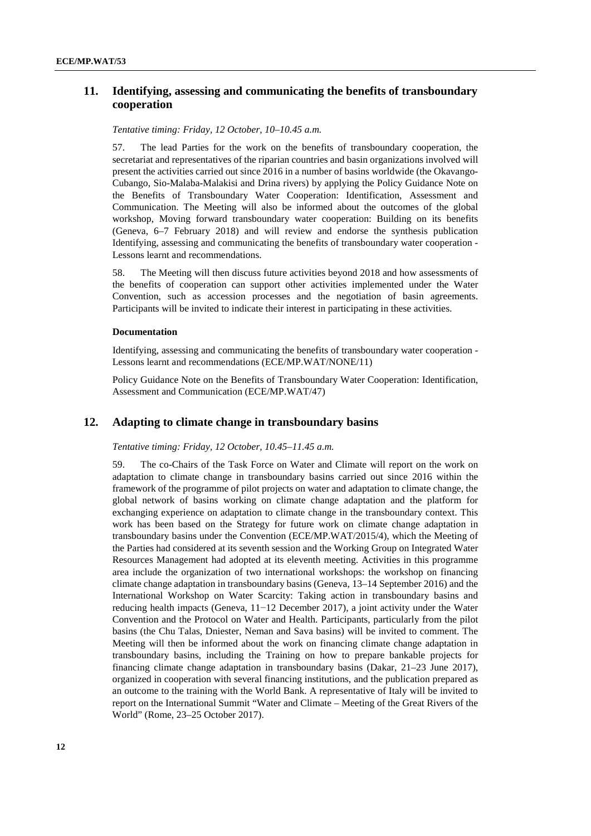# **11. Identifying, assessing and communicating the benefits of transboundary cooperation**

*Tentative timing: Friday, 12 October, 10–10.45 a.m.*

57. The lead Parties for the work on the benefits of transboundary cooperation, the secretariat and representatives of the riparian countries and basin organizations involved will present the activities carried out since 2016 in a number of basins worldwide (the Okavango-Cubango, Sio-Malaba-Malakisi and Drina rivers) by applying the Policy Guidance Note on the Benefits of Transboundary Water Cooperation: Identification, Assessment and Communication. The Meeting will also be informed about the outcomes of the global workshop, Moving forward transboundary water cooperation: Building on its benefits (Geneva, 6–7 February 2018) and will review and endorse the synthesis publication Identifying, assessing and communicating the benefits of transboundary water cooperation - Lessons learnt and recommendations.

58. The Meeting will then discuss future activities beyond 2018 and how assessments of the benefits of cooperation can support other activities implemented under the Water Convention, such as accession processes and the negotiation of basin agreements. Participants will be invited to indicate their interest in participating in these activities.

#### **Documentation**

Identifying, assessing and communicating the benefits of transboundary water cooperation - Lessons learnt and recommendations (ECE/MP.WAT/NONE/11)

Policy Guidance Note on the Benefits of Transboundary Water Cooperation: Identification, Assessment and Communication (ECE/MP.WAT/47)

# **12. Adapting to climate change in transboundary basins**

*Tentative timing: Friday, 12 October, 10.45–11.45 a.m.*

59. The co-Chairs of the Task Force on Water and Climate will report on the work on adaptation to climate change in transboundary basins carried out since 2016 within the framework of the programme of pilot projects on water and adaptation to climate change, the global network of basins working on climate change adaptation and the platform for exchanging experience on adaptation to climate change in the transboundary context. This work has been based on the Strategy for future work on climate change adaptation in transboundary basins under the Convention (ECE/MP.WAT/2015/4), which the Meeting of the Parties had considered at its seventh session and the Working Group on Integrated Water Resources Management had adopted at its eleventh meeting. Activities in this programme area include the organization of two international workshops: the workshop on financing climate change adaptation in transboundary basins (Geneva, 13–14 September 2016) and the International Workshop on Water Scarcity: Taking action in transboundary basins and reducing health impacts (Geneva, 11−12 December 2017), a joint activity under the Water Convention and the Protocol on Water and Health. Participants, particularly from the pilot basins (the Chu Talas, Dniester, Neman and Sava basins) will be invited to comment. The Meeting will then be informed about the work on financing climate change adaptation in transboundary basins, including the Training on how to prepare bankable projects for financing climate change adaptation in transboundary basins (Dakar, 21–23 June 2017), organized in cooperation with several financing institutions, and the publication prepared as an outcome to the training with the World Bank. A representative of Italy will be invited to report on the International Summit "Water and Climate – Meeting of the Great Rivers of the World" (Rome, 23–25 October 2017).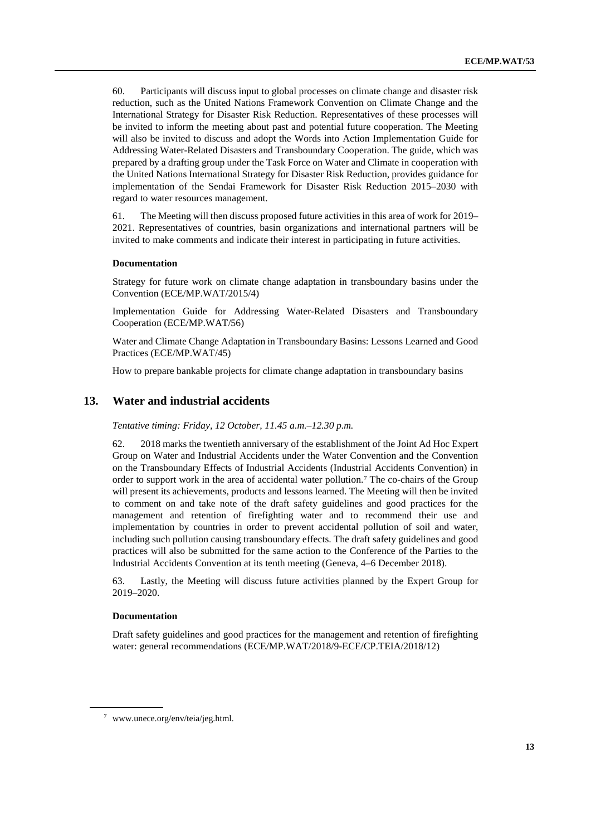60. Participants will discuss input to global processes on climate change and disaster risk reduction, such as the United Nations Framework Convention on Climate Change and the International Strategy for Disaster Risk Reduction. Representatives of these processes will be invited to inform the meeting about past and potential future cooperation. The Meeting will also be invited to discuss and adopt the Words into Action Implementation Guide for Addressing Water-Related Disasters and Transboundary Cooperation. The guide, which was prepared by a drafting group under the Task Force on Water and Climate in cooperation with the United Nations International Strategy for Disaster Risk Reduction, provides guidance for implementation of the Sendai Framework for Disaster Risk Reduction 2015–2030 with regard to water resources management.

61. The Meeting will then discuss proposed future activities in this area of work for 2019– 2021. Representatives of countries, basin organizations and international partners will be invited to make comments and indicate their interest in participating in future activities.

#### **Documentation**

Strategy for future work on climate change adaptation in transboundary basins under the Convention (ECE/MP.WAT/2015/4)

Implementation Guide for Addressing Water-Related Disasters and Transboundary Cooperation (ECE/MP.WAT/56)

Water and Climate Change Adaptation in Transboundary Basins: Lessons Learned and Good Practices (ECE/MP.WAT/45)

How to prepare bankable projects for climate change adaptation in transboundary basins

## **13. Water and industrial accidents**

*Tentative timing: Friday, 12 October, 11.45 a.m.–12.30 p.m.*

62. 2018 marks the twentieth anniversary of the establishment of the Joint Ad Hoc Expert Group on Water and Industrial Accidents under the Water Convention and the Convention on the Transboundary Effects of Industrial Accidents (Industrial Accidents Convention) in order to support work in the area of accidental water pollution.<sup>[7](#page-12-0)</sup> The co-chairs of the Group will present its achievements, products and lessons learned. The Meeting will then be invited to comment on and take note of the draft safety guidelines and good practices for the management and retention of firefighting water and to recommend their use and implementation by countries in order to prevent accidental pollution of soil and water, including such pollution causing transboundary effects. The draft safety guidelines and good practices will also be submitted for the same action to the Conference of the Parties to the Industrial Accidents Convention at its tenth meeting (Geneva, 4–6 December 2018).

63. Lastly, the Meeting will discuss future activities planned by the Expert Group for 2019–2020.

#### **Documentation**

Draft safety guidelines and good practices for the management and retention of firefighting water: general recommendations (ECE/MP.WAT/2018/9-ECE/CP.TEIA/2018/12)

<span id="page-12-0"></span><sup>7</sup> [www.unece.org/env/teia/jeg.html.](http://www.unece.org/env/teia/jeg.html)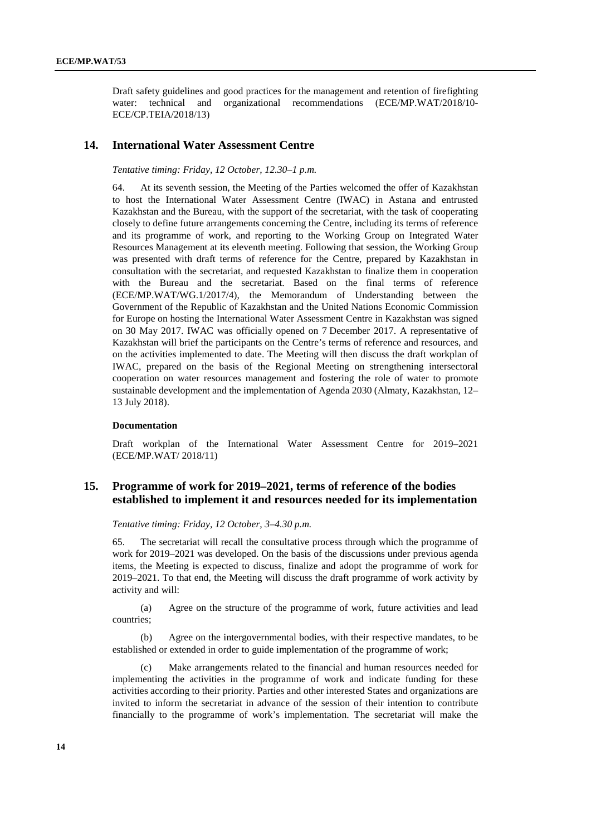Draft safety guidelines and good practices for the management and retention of firefighting water: technical and organizational recommendations (ECE/MP.WAT/2018/10- ECE/CP.TEIA/2018/13)

#### **14. International Water Assessment Centre**

*Tentative timing: Friday, 12 October, 12.30–1 p.m.* 

64. At its seventh session, the Meeting of the Parties welcomed the offer of Kazakhstan to host the International Water Assessment Centre (IWAC) in Astana and entrusted Kazakhstan and the Bureau, with the support of the secretariat, with the task of cooperating closely to define future arrangements concerning the Centre, including its terms of reference and its programme of work, and reporting to the Working Group on Integrated Water Resources Management at its eleventh meeting. Following that session, the Working Group was presented with draft terms of reference for the Centre, prepared by Kazakhstan in consultation with the secretariat, and requested Kazakhstan to finalize them in cooperation with the Bureau and the secretariat. Based on the final terms of reference (ECE/MP.WAT/WG.1/2017/4), the Memorandum of Understanding between the Government of the Republic of Kazakhstan and the United Nations Economic Commission for Europe on hosting the International Water Assessment Centre in Kazakhstan was signed on 30 May 2017. IWAC was officially opened on 7 December 2017. A representative of Kazakhstan will brief the participants on the Centre's terms of reference and resources, and on the activities implemented to date. The Meeting will then discuss the draft workplan of IWAC, prepared on the basis of the Regional Meeting on strengthening intersectoral cooperation on water resources management and fostering the role of water to promote sustainable development and the implementation of Agenda 2030 (Almaty, Kazakhstan, 12– 13 July 2018).

#### **Documentation**

Draft workplan of the International Water Assessment Centre for 2019–2021 (ECE/MP.WAT/ 2018/11)

# **15. Programme of work for 2019–2021, terms of reference of the bodies established to implement it and resources needed for its implementation**

*Tentative timing: Friday, 12 October, 3–4.30 p.m.*

65. The secretariat will recall the consultative process through which the programme of work for 2019–2021 was developed. On the basis of the discussions under previous agenda items, the Meeting is expected to discuss, finalize and adopt the programme of work for 2019–2021. To that end, the Meeting will discuss the draft programme of work activity by activity and will:

(a) Agree on the structure of the programme of work, future activities and lead countries;

(b) Agree on the intergovernmental bodies, with their respective mandates, to be established or extended in order to guide implementation of the programme of work;

(c) Make arrangements related to the financial and human resources needed for implementing the activities in the programme of work and indicate funding for these activities according to their priority. Parties and other interested States and organizations are invited to inform the secretariat in advance of the session of their intention to contribute financially to the programme of work's implementation. The secretariat will make the